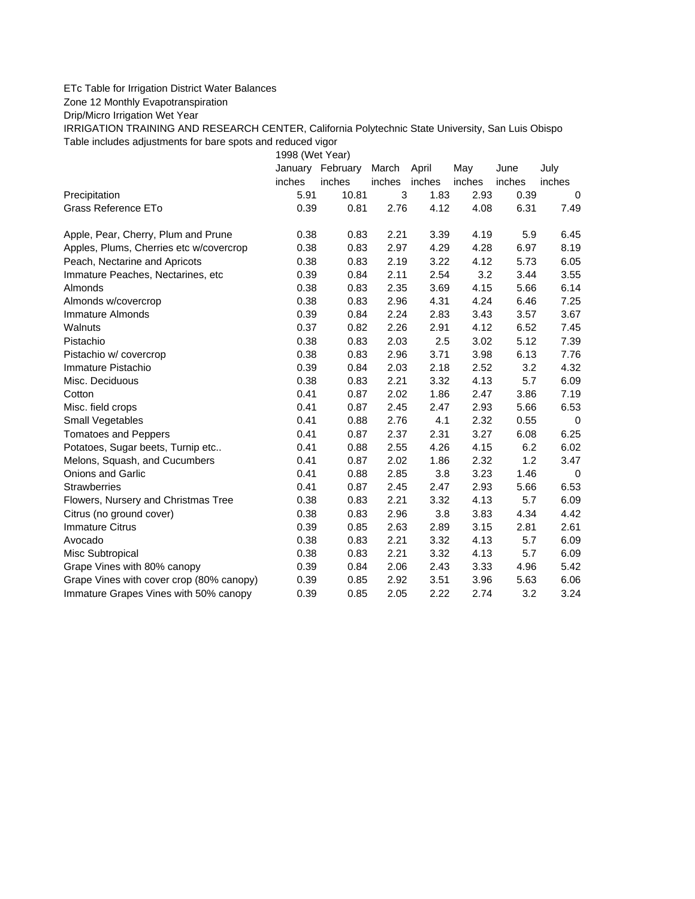## ETc Table for Irrigation District Water Balances

Zone 12 Monthly Evapotranspiration

Drip/Micro Irrigation Wet Year

IRRIGATION TRAINING AND RESEARCH CENTER, California Polytechnic State University, San Luis Obispo Table includes adjustments for bare spots and reduced vigor

1998 (Wet Year)

|                                          | January | February | March  | April  | May    | June   | July        |
|------------------------------------------|---------|----------|--------|--------|--------|--------|-------------|
|                                          | inches  | inches   | inches | inches | inches | inches | inches      |
| Precipitation                            | 5.91    | 10.81    | 3      | 1.83   | 2.93   | 0.39   | 0           |
| <b>Grass Reference ETo</b>               | 0.39    | 0.81     | 2.76   | 4.12   | 4.08   | 6.31   | 7.49        |
| Apple, Pear, Cherry, Plum and Prune      | 0.38    | 0.83     | 2.21   | 3.39   | 4.19   | 5.9    | 6.45        |
| Apples, Plums, Cherries etc w/covercrop  | 0.38    | 0.83     | 2.97   | 4.29   | 4.28   | 6.97   | 8.19        |
| Peach, Nectarine and Apricots            | 0.38    | 0.83     | 2.19   | 3.22   | 4.12   | 5.73   | 6.05        |
| Immature Peaches, Nectarines, etc        | 0.39    | 0.84     | 2.11   | 2.54   | 3.2    | 3.44   | 3.55        |
| Almonds                                  | 0.38    | 0.83     | 2.35   | 3.69   | 4.15   | 5.66   | 6.14        |
| Almonds w/covercrop                      | 0.38    | 0.83     | 2.96   | 4.31   | 4.24   | 6.46   | 7.25        |
| Immature Almonds                         | 0.39    | 0.84     | 2.24   | 2.83   | 3.43   | 3.57   | 3.67        |
| Walnuts                                  | 0.37    | 0.82     | 2.26   | 2.91   | 4.12   | 6.52   | 7.45        |
| Pistachio                                | 0.38    | 0.83     | 2.03   | 2.5    | 3.02   | 5.12   | 7.39        |
| Pistachio w/ covercrop                   | 0.38    | 0.83     | 2.96   | 3.71   | 3.98   | 6.13   | 7.76        |
| Immature Pistachio                       | 0.39    | 0.84     | 2.03   | 2.18   | 2.52   | 3.2    | 4.32        |
| Misc. Deciduous                          | 0.38    | 0.83     | 2.21   | 3.32   | 4.13   | 5.7    | 6.09        |
| Cotton                                   | 0.41    | 0.87     | 2.02   | 1.86   | 2.47   | 3.86   | 7.19        |
| Misc. field crops                        | 0.41    | 0.87     | 2.45   | 2.47   | 2.93   | 5.66   | 6.53        |
| <b>Small Vegetables</b>                  | 0.41    | 0.88     | 2.76   | 4.1    | 2.32   | 0.55   | 0           |
| <b>Tomatoes and Peppers</b>              | 0.41    | 0.87     | 2.37   | 2.31   | 3.27   | 6.08   | 6.25        |
| Potatoes, Sugar beets, Turnip etc        | 0.41    | 0.88     | 2.55   | 4.26   | 4.15   | 6.2    | 6.02        |
| Melons, Squash, and Cucumbers            | 0.41    | 0.87     | 2.02   | 1.86   | 2.32   | 1.2    | 3.47        |
| <b>Onions and Garlic</b>                 | 0.41    | 0.88     | 2.85   | 3.8    | 3.23   | 1.46   | $\mathbf 0$ |
| <b>Strawberries</b>                      | 0.41    | 0.87     | 2.45   | 2.47   | 2.93   | 5.66   | 6.53        |
| Flowers, Nursery and Christmas Tree      | 0.38    | 0.83     | 2.21   | 3.32   | 4.13   | 5.7    | 6.09        |
| Citrus (no ground cover)                 | 0.38    | 0.83     | 2.96   | 3.8    | 3.83   | 4.34   | 4.42        |
| <b>Immature Citrus</b>                   | 0.39    | 0.85     | 2.63   | 2.89   | 3.15   | 2.81   | 2.61        |
| Avocado                                  | 0.38    | 0.83     | 2.21   | 3.32   | 4.13   | 5.7    | 6.09        |
| Misc Subtropical                         | 0.38    | 0.83     | 2.21   | 3.32   | 4.13   | 5.7    | 6.09        |
| Grape Vines with 80% canopy              | 0.39    | 0.84     | 2.06   | 2.43   | 3.33   | 4.96   | 5.42        |
| Grape Vines with cover crop (80% canopy) | 0.39    | 0.85     | 2.92   | 3.51   | 3.96   | 5.63   | 6.06        |
| Immature Grapes Vines with 50% canopy    | 0.39    | 0.85     | 2.05   | 2.22   | 2.74   | 3.2    | 3.24        |